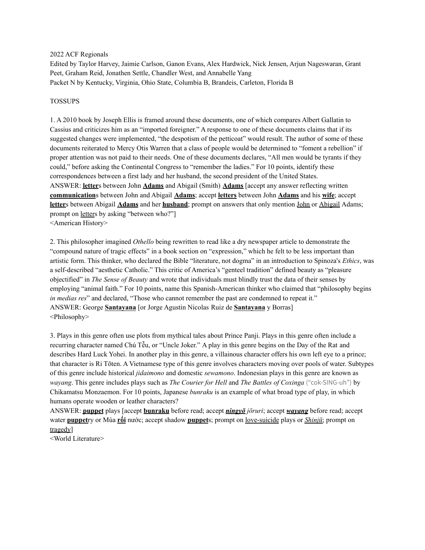#### 2022 ACF Regionals

Edited by Taylor Harvey, Jaimie Carlson, Ganon Evans, Alex Hardwick, Nick Jensen, Arjun Nageswaran, Grant Peet, Graham Reid, Jonathen Settle, Chandler West, and Annabelle Yang Packet N by Kentucky, Virginia, Ohio State, Columbia B, Brandeis, Carleton, Florida B

#### TOSSUPS

1. A 2010 book by Joseph Ellis is framed around these documents, one of which compares Albert Gallatin to Cassius and criticizes him as an "imported foreigner." A response to one of these documents claims that if its suggested changes were implemented, "the despotism of the petticoat" would result. The author of some of these documents reiterated to Mercy Otis Warren that a class of people would be determined to "foment a rebellion" if proper attention was not paid to their needs. One of these documents declares, "All men would be tyrants if they could," before asking the Continental Congress to "remember the ladies." For 10 points, identify these correspondences between a first lady and her husband, the second president of the United States. ANSWER: **letter**s between John **Adams** and Abigail (Smith) **Adams** [accept any answer reflecting written **communication**s between John and Abigail **Adams**; accept **letters** between John **Adams** and his **wife**; accept **letter**s between Abigail **Adams** and her **husband**; prompt on answers that only mention John or Abigail Adams; prompt on letters by asking "between who?"] <American History>

2. This philosopher imagined *Othello* being rewritten to read like a dry newspaper article to demonstrate the "compound nature of tragic effects" in a book section on "expression," which he felt to be less important than artistic form. This thinker, who declared the Bible "literature, not dogma" in an introduction to Spinoza's *Ethics*, was a self-described "aesthetic Catholic." This critic of America's "genteel tradition" defined beauty as "pleasure objectified" in *The Sense of Beauty* and wrote that individuals must blindly trust the data of their senses by employing "animal faith." For 10 points, name this Spanish-American thinker who claimed that "philosophy begins *in* medias res" and declared, "Those who cannot remember the past are condemned to repeat it." ANSWER: George **Santayana** [or Jorge Agustin Nicolas Ruiz de **Santayana** y Borras] <Philosophy>

3. Plays in this genre often use plots from mythical tales about Prince Panji. Plays in this genre often include a recurring character named Chú Tễu, or "Uncle Joker." A play in this genre begins on the Day of the Rat and describes Hard Luck Yohei. In another play in this genre, a villainous character offers his own left eye to a prince; that character is Ri Tōten. A Vietnamese type of this genre involves characters moving over pools of water. Subtypes of this genre include historical *jidaimono* and domestic *sewamono*. Indonesian plays in this genre are known as *wayang*. This genre includes plays such as *The Courier for Hell* and *The Battles of Coxinga* ("cok-SING-uh") by Chikamatsu Monzaemon. For 10 points, Japanese *bunraku* is an example of what broad type of play, in which humans operate wooden or leather characters?

ANSWER: **puppet** plays [accept **bunraku** before read; accept *ningyō jōruri*; accept *wayang* before read; accept water **puppet**ry or Múa **rối** nước; accept shadow **puppet**s; prompt on love-suicide plays or *Shinjū*; prompt on tragedy]

<World Literature>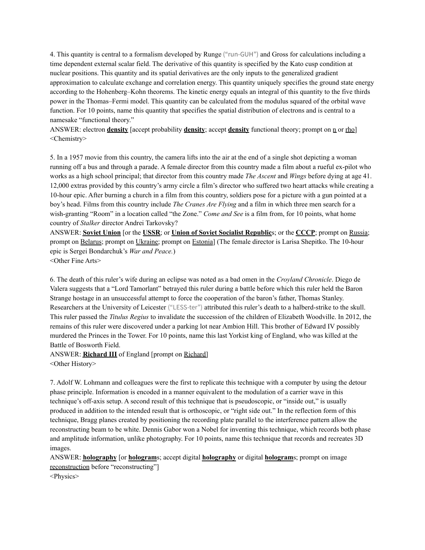4. This quantity is central to a formalism developed by Runge ("run-GUH") and Gross for calculations including a time dependent external scalar field. The derivative of this quantity is specified by the Kato cusp condition at nuclear positions. This quantity and its spatial derivatives are the only inputs to the generalized gradient approximation to calculate exchange and correlation energy. This quantity uniquely specifies the ground state energy according to the Hohenberg–Kohn theorems. The kinetic energy equals an integral of this quantity to the five thirds power in the Thomas–Fermi model. This quantity can be calculated from the modulus squared of the orbital wave function. For 10 points, name this quantity that specifies the spatial distribution of electrons and is central to a namesake "functional theory."

ANSWER: electron **density** [accept probability **density**; accept **density** functional theory; prompt on <u>n</u> or rho] <Chemistry>

5. In a 1957 movie from this country, the camera lifts into the air at the end of a single shot depicting a woman running off a bus and through a parade. A female director from this country made a film about a rueful ex-pilot who works as a high school principal; that director from this country made *The Ascent* and *Wings* before dying at age 41. 12,000 extras provided by this country's army circle a film's director who suffered two heart attacks while creating a 10-hour epic. After burning a church in a film from this country, soldiers pose for a picture with a gun pointed at a boy's head. Films from this country include *The Cranes Are Flying* and a film in which three men search for a wish-granting "Room" in a location called "the Zone." *Come and See* is a film from, for 10 points, what home country of *Stalker* director Andrei Tarkovsky?

ANSWER: **Soviet Union** [or the **USSR**; or **Union of Soviet Socialist Republic**s; or the **CCCP**; prompt on Russia; prompt on Belarus; prompt on Ukraine; prompt on Estonia] (The female director is Larisa Shepitko. The 10-hour epic is Sergei Bondarchuk's *War and Peace.*) <Other Fine Arts>

6. The death of this ruler's wife during an eclipse was noted as a bad omen in the *Croyland Chronicle*. Diego de Valera suggests that a "Lord Tamorlant" betrayed this ruler during a battle before which this ruler held the Baron Strange hostage in an unsuccessful attempt to force the cooperation of the baron's father, Thomas Stanley. Researchers at the University of Leicester ("LESS-ter") attributed this ruler's death to a halberd-strike to the skull. This ruler passed the *Titulus Regius* to invalidate the succession of the children of Elizabeth Woodville. In 2012, the remains of this ruler were discovered under a parking lot near Ambion Hill. This brother of Edward IV possibly murdered the Princes in the Tower. For 10 points, name this last Yorkist king of England, who was killed at the Battle of Bosworth Field.

ANSWER: **Richard III** of England [prompt on Richard] <Other History>

7. Adolf W. Lohmann and colleagues were the first to replicate this technique with a computer by using the detour phase principle. Information is encoded in a manner equivalent to the modulation of a carrier wave in this technique's off-axis setup. A second result of this technique that is pseudoscopic, or "inside out," is usually produced in addition to the intended result that is orthoscopic, or "right side out." In the reflection form of this technique, Bragg planes created by positioning the recording plate parallel to the interference pattern allow the reconstructing beam to be white. Dennis Gabor won a Nobel for inventing this technique, which records both phase and amplitude information, unlike photography. For 10 points, name this technique that records and recreates 3D images.

ANSWER: **holography** [or **hologram**s; accept digital **holography** or digital **hologram**s; prompt on image reconstruction before "reconstructing"]

<Physics>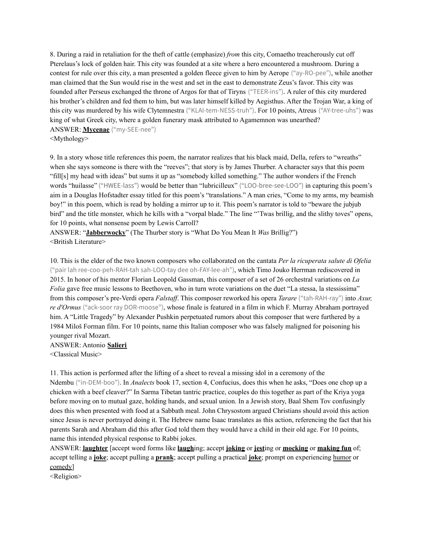8. During a raid in retaliation for the theft of cattle (emphasize) *from* this city, Comaetho treacherously cut off Pterelaus's lock of golden hair. This city was founded at a site where a hero encountered a mushroom. During a contest for rule over this city, a man presented a golden fleece given to him by Aerope ("ay-RO-pee"), while another man claimed that the Sun would rise in the west and set in the east to demonstrate Zeus's favor. This city was founded after Perseus exchanged the throne of Argos for that of Tiryns ("TEER-ins"). A ruler of this city murdered his brother's children and fed them to him, but was later himself killed by Aegisthus. After the Trojan War, a king of this city was murdered by his wife Clytemnestra ("KLAI-tem-NESS-truh"). For 10 points, Atreus ("AY-tree-uhs") was king of what Greek city, where a golden funerary mask attributed to Agamemnon was unearthed? ANSWER: **Mycenae** ("my-SEE-nee") <Mythology>

9. In a story whose title references this poem, the narrator realizes that his black maid, Della, refers to "wreaths" when she says someone is there with the "reeves"; that story is by James Thurber. A character says that this poem "fill[s] my head with ideas" but sums it up as "somebody killed something." The author wonders if the French words "huilasse" ("HWEE-lass") would be better than "lubricilleux" ("LOO-bree-see-LOO") in capturing this poem's aim in a Douglas Hofstadter essay titled for this poem's "translations." A man cries, "Come to my arms, my beamish boy!" in this poem, which is read by holding a mirror up to it. This poem's narrator is told to "beware the jubjub bird" and the title monster, which he kills with a "vorpal blade." The line "'Twas brillig, and the slithy toves" opens, for 10 points, what nonsense poem by Lewis Carroll?

ANSWER: "**Jabberwocky**" (The Thurber story is "What Do You Mean It *Was* Brillig?") <British Literature>

10. This is the elder of the two known composers who collaborated on the cantata *Per la ricuperata salute di Ofelia* ("pair lah ree-coo-peh-RAH-tah sah-LOO-tay dee oh-FAY-lee-ah"), which Timo Jouko Herrman rediscovered in 2015. In honor of his mentor Florian Leopold Gassman, this composer of a set of 26 orchestral variations on *La Folia* gave free music lessons to Beethoven, who in turn wrote variations on the duet "La stessa, la stessissima" from this composer's pre-Verdi opera *Falstaff*. This composer reworked his opera *Tarare* ("tah-RAH-ray") into *Axur*, *re d'Ormus* ("ack-soor ray DOR-moose"), whose finale is featured in a film in which F. Murray Abraham portrayed him. A "Little Tragedy" by Alexander Pushkin perpetuated rumors about this composer that were furthered by a 1984 Miloš Forman film. For 10 points, name this Italian composer who was falsely maligned for poisoning his younger rival Mozart.

ANSWER: Antonio **Salieri** <Classical Music>

11. This action is performed after the lifting of a sheet to reveal a missing idol in a ceremony of the Ndembu ("in-DEM-boo"). In *Analects* book 17, section 4, Confucius, does this when he asks, "Does one chop up a chicken with a beef cleaver?" In Sarma Tibetan tantric practice, couples do this together as part of the Kriya yoga before moving on to mutual gaze, holding hands, and sexual union. In a Jewish story, Baal Shem Tov confusingly does this when presented with food at a Sabbath meal. John Chrysostom argued Christians should avoid this action since Jesus is never portrayed doing it. The Hebrew name Isaac translates as this action, referencing the fact that his parents Sarah and Abraham did this after God told them they would have a child in their old age. For 10 points, name this intended physical response to Rabbi jokes.

ANSWER: **laughter** [accept word forms like **laugh**ing; accept **joking** or **jest**ing or **mocking** or **making fun** of; accept telling a **joke**; accept pulling a **prank**; accept pulling a practical **joke**; prompt on experiencing humor or comedy]

<Religion>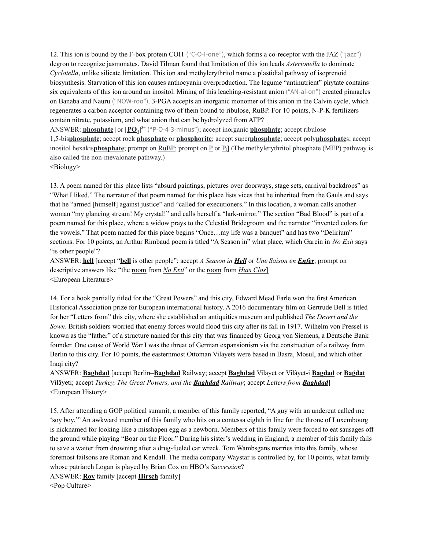12. This ion is bound by the F-box protein COI1 ("C-O-I-one"), which forms a co-receptor with the JAZ ("jazz") degron to recognize jasmonates. David Tilman found that limitation of this ion leads *Asterionella* to dominate *Cyclotella*, unlike silicate limitation. This ion and methylerythritol name a plastidial pathway of isoprenoid biosynthesis. Starvation of this ion causes anthocyanin overproduction. The legume "antinutrient" phytate contains six equivalents of this ion around an inositol. Mining of this leaching-resistant anion ("AN-ai-on") created pinnacles on Banaba and Nauru ("NOW-roo"). 3-PGA accepts an inorganic monomer of this anion in the Calvin cycle, which regenerates a carbon acceptor containing two of them bound to ribulose, RuBP. For 10 points, N-P-K fertilizers contain nitrate, potassium, and what anion that can be hydrolyzed from ATP?

ANSWER: **phosphate** [or [**PO4**] 3− ("P-O-4-3-minus"); accept inorganic **phosphate**; accept ribulose 1,5-bis**phosphate**; accept rock **phosphate** or **phosphorite**; accept super**phosphate**; accept poly**phosphate**s; accept inositol hexakis**phosphate**; prompt on RuBP; prompt on P or P<sub>i</sub>] (The methylerythritol phosphate (MEP) pathway is also called the non-mevalonate pathway.)

<Biology>

13. A poem named for this place lists "absurd paintings, pictures over doorways, stage sets, carnival backdrops" as "What I liked." The narrator of that poem named for this place lists vices that he inherited from the Gauls and says that he "armed [himself] against justice" and "called for executioners." In this location, a woman calls another woman "my glancing stream! My crystal!" and calls herself a "lark-mirror." The section "Bad Blood" is part of a poem named for this place, where a widow prays to the Celestial Bridegroom and the narrator "invented colors for the vowels." That poem named for this place begins "Once…my life was a banquet" and has two "Delirium" sections. For 10 points, an Arthur Rimbaud poem is titled "A Season in" what place, which Garcin in *No Exit* says "is other people"?

ANSWER: **hell** [accept "**bell** is other people"; accept *A Season in Hell* or *Une Saison en Enfer*; prompt on descriptive answers like "the room from *No Exit*" or the room from *Huis Clos*] <European Literature>

14. For a book partially titled for the "Great Powers" and this city, Edward Mead Earle won the first American Historical Association prize for European international history. A 2016 documentary film on Gertrude Bell is titled for her "Letters from" this city, where she established an antiquities museum and published *The Desert and the Sown*. British soldiers worried that enemy forces would flood this city after its fall in 1917. Wilhelm von Pressel is known as the "father" of a structure named for this city that was financed by Georg von Siemens, a Deutsche Bank founder. One cause of World War I was the threat of German expansionism via the construction of a railway from Berlin to this city. For 10 points, the easternmost Ottoman Vilayets were based in Basra, Mosul, and which other Iraqi city?

ANSWER: **Baghdad** [accept Berlin–**Baghdad** Railway; accept **Baghdad** Vilayet or Vilâyet-i **Bagdad** or **Bağdat** Vilâyeti; accept *Turkey, The Great Powers, and the Baghdad Railway*; accept *Letters from Baghdad*] <European History>

15. After attending a GOP political summit, a member of this family reported, "A guy with an undercut called me 'soy boy.'" An awkward member of this family who hits on a contessa eighth in line for the throne of Luxembourg is nicknamed for looking like a misshapen egg as a newborn. Members of this family were forced to eat sausages off the ground while playing "Boar on the Floor." During his sister's wedding in England, a member of this family fails to save a waiter from drowning after a drug-fueled car wreck. Tom Wambsgans marries into this family, whose foremost failsons are Roman and Kendall. The media company Waystar is controlled by, for 10 points, what family whose patriarch Logan is played by Brian Cox on HBO's *Succession*?

ANSWER: **Roy** family [accept **Hirsch** family]

<Pop Culture>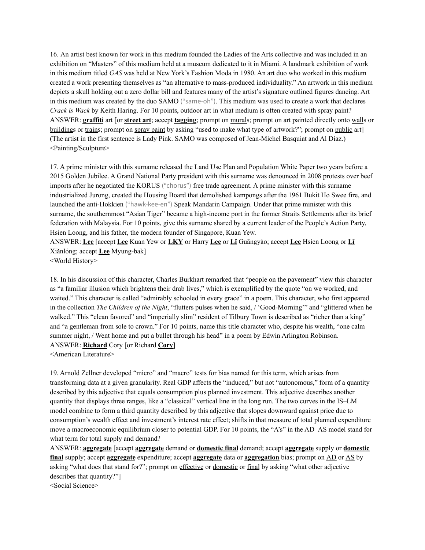16. An artist best known for work in this medium founded the Ladies of the Arts collective and was included in an exhibition on "Masters" of this medium held at a museum dedicated to it in Miami. A landmark exhibition of work in this medium titled *GAS* was held at New York's Fashion Moda in 1980. An art duo who worked in this medium created a work presenting themselves as "an alternative to mass-produced individuality." An artwork in this medium depicts a skull holding out a zero dollar bill and features many of the artist's signature outlined figures dancing. Art in this medium was created by the duo SAMO ("same-oh"). This medium was used to create a work that declares *Crack is Wack* by Keith Haring. For 10 points, outdoor art in what medium is often created with spray paint? ANSWER: **graffiti** art [or **street art**; accept **tagging**; prompt on murals; prompt on art painted directly onto walls or buildings or trains; prompt on spray paint by asking "used to make what type of artwork?"; prompt on public art] (The artist in the first sentence is Lady Pink. SAMO was composed of Jean-Michel Basquiat and Al Diaz.) <Painting/Sculpture>

17. A prime minister with this surname released the Land Use Plan and Population White Paper two years before a 2015 Golden Jubilee. A Grand National Party president with this surname was denounced in 2008 protests over beef imports after he negotiated the KORUS ("chorus") free trade agreement. A prime minister with this surname industrialized Jurong, created the Housing Board that demolished kampongs after the 1961 Bukit Ho Swee fire, and launched the anti-Hokkien ("hawk-kee-en") Speak Mandarin Campaign. Under that prime minister with this surname, the southernmost "Asian Tiger" became a high-income port in the former Straits Settlements after its brief federation with Malaysia. For 10 points, give this surname shared by a current leader of the People's Action Party, Hsien Loong, and his father, the modern founder of Singapore, Kuan Yew.

ANSWER: **Lee** [accept **Lee** Kuan Yew or **LKY** or Harry **Lee** or **Lǐ** Guāngyào; accept **Lee** Hsien Loong or **Lǐ** Xiǎnlóng; accept **Lee** Myung-bak]

<World History>

18. In his discussion of this character, Charles Burkhart remarked that "people on the pavement" view this character as "a familiar illusion which brightens their drab lives," which is exemplified by the quote "on we worked, and waited." This character is called "admirably schooled in every grace" in a poem. This character, who first appeared in the collection *The Children of the Night*, "flutters pulses when he said, / 'Good-Morning'" and "glittered when he walked." This "clean favored" and "imperially slim" resident of Tilbury Town is described as "richer than a king" and "a gentleman from sole to crown." For 10 points, name this title character who, despite his wealth, "one calm summer night, / Went home and put a bullet through his head" in a poem by Edwin Arlington Robinson. ANSWER: **Richard** Cory [or Richard **Cory**]

<American Literature>

19. Arnold Zellner developed "micro" and "macro" tests for bias named for this term, which arises from transforming data at a given granularity. Real GDP affects the "induced," but not "autonomous," form of a quantity described by this adjective that equals consumption plus planned investment. This adjective describes another quantity that displays three ranges, like a "classical" vertical line in the long run. The two curves in the IS–LM model combine to form a third quantity described by this adjective that slopes downward against price due to consumption's wealth effect and investment's interest rate effect; shifts in that measure of total planned expenditure move a macroeconomic equilibrium closer to potential GDP. For 10 points, the "A's" in the AD–AS model stand for what term for total supply and demand?

ANSWER: **aggregate** [accept **aggregate** demand or **domestic final** demand; accept **aggregate** supply or **domestic final** supply; accept **aggregate** expenditure; accept **aggregate** data or **aggregation** bias; prompt on AD or AS by asking "what does that stand for?"; prompt on effective or domestic or final by asking "what other adjective describes that quantity?"]

<Social Science>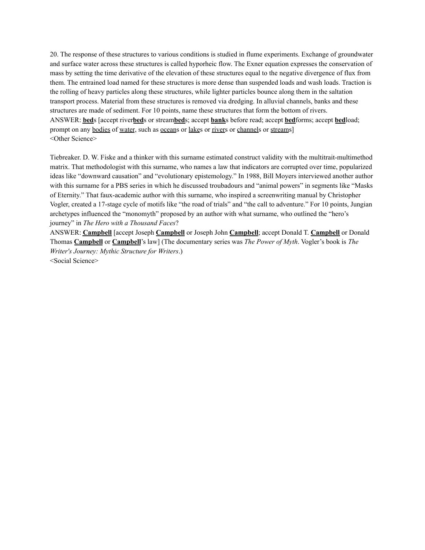20. The response of these structures to various conditions is studied in flume experiments. Exchange of groundwater and surface water across these structures is called hyporheic flow. The Exner equation expresses the conservation of mass by setting the time derivative of the elevation of these structures equal to the negative divergence of flux from them. The entrained load named for these structures is more dense than suspended loads and wash loads. Traction is the rolling of heavy particles along these structures, while lighter particles bounce along them in the saltation transport process. Material from these structures is removed via dredging. In alluvial channels, banks and these structures are made of sediment. For 10 points, name these structures that form the bottom of rivers. ANSWER: **bed**s [accept river**bed**s or stream**bed**s; accept **bank**s before read; accept **bed**forms; accept **bed**load; prompt on any bodies of water, such as oceans or lakes or rivers or channels or streams] <Other Science>

Tiebreaker. D. W. Fiske and a thinker with this surname estimated construct validity with the multitrait-multimethod matrix. That methodologist with this surname, who names a law that indicators are corrupted over time, popularized ideas like "downward causation" and "evolutionary epistemology." In 1988, Bill Moyers interviewed another author with this surname for a PBS series in which he discussed troubadours and "animal powers" in segments like "Masks" of Eternity." That faux-academic author with this surname, who inspired a screenwriting manual by Christopher Vogler, created a 17-stage cycle of motifs like "the road of trials" and "the call to adventure." For 10 points, Jungian archetypes influenced the "monomyth" proposed by an author with what surname, who outlined the "hero's journey" in *The Hero with a Thousand Faces*?

ANSWER: **Campbell** [accept Joseph **Campbell** or Joseph John **Campbell**; accept Donald T. **Campbell** or Donald Thomas **Campbell** or **Campbell**'s law] (The documentary series was *The Power of Myth*. Vogler's book is *The Writer's Journey: Mythic Structure for Writers*.) <Social Science>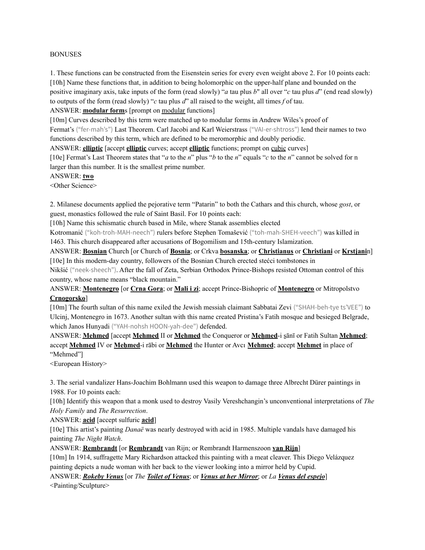#### BONUSES

1. These functions can be constructed from the Eisenstein series for every even weight above 2. For 10 points each: [10h] Name these functions that, in addition to being holomorphic on the upper-half plane and bounded on the positive imaginary axis, take inputs of the form (read slowly) "*a* tau plus *b*" all over "*c* tau plus *d*" (end read slowly) to outputs of the form (read slowly) "*c* tau plus *d*" all raised to the weight, all times *f* of tau.

ANSWER: **modular form**s [prompt on modular functions]

[10m] Curves described by this term were matched up to modular forms in Andrew Wiles's proof of Fermat's ("fer-mah's") Last Theorem. Carl Jacobi and Karl Weierstrass ("VAI-er-shtross") lend their names to two functions described by this term, which are defined to be meromorphic and doubly periodic.

ANSWER: **elliptic** [accept **elliptic** curves; accept **elliptic** functions; prompt on cubic curves]

[10e] Fermat's Last Theorem states that "*a* to the *n*" plus "*b* to the *n*" equals "*c* to the *n*" cannot be solved for n larger than this number. It is the smallest prime number.

ANSWER: **two**

<Other Science>

2. Milanese documents applied the pejorative term "Patarin" to both the Cathars and this church, whose *gost*, or guest, monastics followed the rule of Saint Basil. For 10 points each:

[10h] Name this schismatic church based in Mile, where Stanak assemblies elected

Kotromanić ("koh-troh-MAH-neech") rulers before Stephen Tomašević ("toh-mah-SHEH-veech") was killed in 1463. This church disappeared after accusations of Bogomilism and 15th-century Islamization.

ANSWER: **Bosnian** Church [or Church of **Bosnia**; or Crkva **bosanska**; or **Christianus** or **Christiani** or **Krstjani**n] [10e] In this modern-day country, followers of the Bosnian Church erected stećci tombstones in

Nikšić ("neek-sheech"). After the fall of Zeta, Serbian Orthodox Prince-Bishops resisted Ottoman control of this country, whose name means "black mountain."

ANSWER: **Montenegro** [or **Crna Gora**; or **Mali i zi**; accept Prince-Bishopric of **Montenegro** or Mitropolstvo **Crnogorsko**]

[10m] The fourth sultan of this name exiled the Jewish messiah claimant Sabbatai Zevi ("SHAH-beh-tye ts'VEE") to Ulcinj, Montenegro in 1673. Another sultan with this name created Pristina's Fatih mosque and besieged Belgrade, which Janos Hunyadi ("YAH-nohsh HOON-yah-dee") defended.

ANSWER: **Mehmed** [accept **Mehmed** II or **Mehmed** the Conqueror or **Meḥmed**-i s̱ānī or Fatih Sultan **Mehmed**; accept **Mehmed** IV or **Meḥmed**-i rābi or **Mehmed** the Hunter or Avcı **Mehmed**; accept **Mehmet** in place of "Mehmed"]

<European History>

3. The serial vandalizer Hans-Joachim Bohlmann used this weapon to damage three Albrecht Dürer paintings in 1988. For 10 points each:

[10h] Identify this weapon that a monk used to destroy Vasily Vereshchangin's unconventional interpretations of *The Holy Family* and *The Resurrection*.

ANSWER: **acid** [accept sulfuric **acid**]

[10e] This artist's painting *Danaë* was nearly destroyed with acid in 1985. Multiple vandals have damaged his painting *The Night Watch*.

ANSWER: **Rembrandt** [or **Rembrandt** van Rijn; or Rembrandt Harmenszoon **van Rijn**]

[10m] In 1914, suffragette Mary Richardson attacked this painting with a meat cleaver. This Diego Velázquez painting depicts a nude woman with her back to the viewer looking into a mirror held by Cupid.

ANSWER: *Rokeby Venus* [or *The Toilet of Venus*; or *Venus at her Mirror*; or *La Venus del espejo*] <Painting/Sculpture>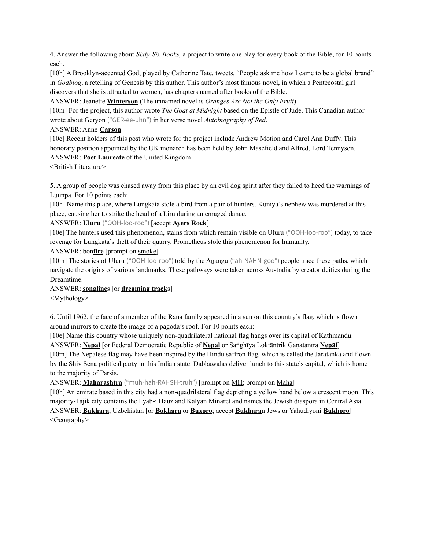4. Answer the following about *Sixty-Six Books,* a project to write one play for every book of the Bible, for 10 points each.

[10h] A Brooklyn-accented God, played by Catherine Tate, tweets, "People ask me how I came to be a global brand" in *Godblog*, a retelling of Genesis by this author. This author's most famous novel, in which a Pentecostal girl discovers that she is attracted to women, has chapters named after books of the Bible.

ANSWER: Jeanette **Winterson** (The unnamed novel is *Oranges Are Not the Only Fruit*)

[10m] For the project, this author wrote *The Goat at Midnight* based on the Epistle of Jude. This Canadian author wrote about Geryon ("GER-ee-uhn") in her verse novel *Autobiography of Red*.

## ANSWER: Anne **Carson**

[10e] Recent holders of this post who wrote for the project include Andrew Motion and Carol Ann Duffy. This honorary position appointed by the UK monarch has been held by John Masefield and Alfred, Lord Tennyson. ANSWER: **Poet Laureate** of the United Kingdom

<British Literature>

5. A group of people was chased away from this place by an evil dog spirit after they failed to heed the warnings of Luunpa. For 10 points each:

[10h] Name this place, where Lungkata stole a bird from a pair of hunters. Kuniya's nephew was murdered at this place, causing her to strike the head of a Liru during an enraged dance.

## ANSWER: **Uluru** ("OOH-loo-roo") [accept **Ayers Rock**]

[10e] The hunters used this phenomenon, stains from which remain visible on Uluru ("OOH-loo-roo") today, to take revenge for Lungkata's theft of their quarry. Prometheus stole this phenomenon for humanity.

ANSWER: bon**fire** [prompt on smoke]

[10m] The stories of Uluru ("OOH-loo-roo") told by the Anangu ("ah-NAHN-goo") people trace these paths, which navigate the origins of various landmarks. These pathways were taken across Australia by creator deities during the Dreamtime.

# ANSWER: **songline**s [or **dreaming track**s]

<Mythology>

6. Until 1962, the face of a member of the Rana family appeared in a sun on this country's flag, which is flown around mirrors to create the image of a pagoda's roof. For 10 points each:

[10e] Name this country whose uniquely non-quadrilateral national flag hangs over its capital of Kathmandu. ANSWER: **Nepal** [or Federal Democratic Republic of **Nepal** or Saṅghīya Loktāntrik Gaṇatantra **Nepāl**]

[10m] The Nepalese flag may have been inspired by the Hindu saffron flag, which is called the Jaratanka and flown by the Shiv Sena political party in this Indian state. Dabbawalas deliver lunch to this state's capital, which is home to the majority of Parsis.

ANSWER: **Maharashtra** ("muh-hah-RAHSH-truh") [prompt on MH; prompt on Maha]

[10h] An emirate based in this city had a non-quadrilateral flag depicting a yellow hand below a crescent moon. This majority-Tajik city contains the Lyab-i Hauz and Kalyan Minaret and names the Jewish diaspora in Central Asia. ANSWER: **Bukhara**, Uzbekistan [or **Bokhara** or **Buxoro**; accept **Bukhara**n Jews or Yahudiyoni **Bukhoro**] <Geography>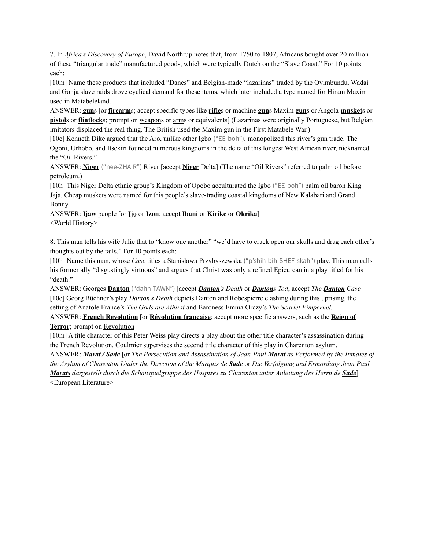7. In *Africa's Discovery of Europe*, David Northrup notes that, from 1750 to 1807, Africans bought over 20 million of these "triangular trade" manufactured goods, which were typically Dutch on the "Slave Coast." For 10 points each:

[10m] Name these products that included "Danes" and Belgian-made "lazarinas" traded by the Ovimbundu. Wadai and Gonja slave raids drove cyclical demand for these items, which later included a type named for Hiram Maxim used in Matabeleland.

ANSWER: **gun**s [or **firearm**s; accept specific types like **rifle**s or machine **gun**s Maxim **gun**s or Angola **musket**s or **pistol**s or **flintlock**s; prompt on weapons or arms or equivalents] (Lazarinas were originally Portuguese, but Belgian imitators displaced the real thing. The British used the Maxim gun in the First Matabele War.)

[10e] Kenneth Dike argued that the Aro, unlike other Igbo ("EE-boh"), monopolized this river's gun trade. The Ogoni, Urhobo, and Itsekiri founded numerous kingdoms in the delta of this longest West African river, nicknamed the "Oil Rivers."

ANSWER: **Niger** ("nee-ZHAIR") River [accept **Niger** Delta] (The name "Oil Rivers" referred to palm oil before petroleum.)

[10h] This Niger Delta ethnic group's Kingdom of Opobo acculturated the Igbo ("EE-boh") palm oil baron King Jaja. Cheap muskets were named for this people's slave-trading coastal kingdoms of New Kalabari and Grand Bonny.

ANSWER: **Ijaw** people [or **Ịjọ** or **Izon**; accept **Ibani** or **Kirike** or **Okrika**] <World History>

8. This man tells his wife Julie that to "know one another" "we'd have to crack open our skulls and drag each other's thoughts out by the tails." For 10 points each:

[10h] Name this man, whose *Case* titles a Stanislawa Przybyszewska ("p'shih-bih-SHEF-skah") play. This man calls his former ally "disgustingly virtuous" and argues that Christ was only a refined Epicurean in a play titled for his "death."

ANSWER: Georges **Danton** ("dahn-TAWN") [accept *Danton's Death* or *Dantons Tod*; accept *The Danton Case*] [10e] Georg Büchner's play *Danton's Death* depicts Danton and Robespierre clashing during this uprising, the setting of Anatole France's *The Gods are Athirst* and Baroness Emma Orczy's *The Scarlet Pimpernel.* ANSWER: **French Revolution** [or **Révolution française**; accept more specific answers, such as the **Reign of**

**Terror**; prompt on Revolution]

[10m] A title character of this Peter Weiss play directs a play about the other title character's assassination during the French Revolution. Coulmier supervises the second title character of this play in Charenton asylum.

ANSWER: *Marat / Sade* [or *The Persecution and Assassination of Jean-Paul Marat as Performed by the Inmates of* the Asylum of Charenton Under the Direction of the Marquis de Sade or Die Verfolgung und Ermordung Jean Paul *Marats dargestellt durch die Schauspielgruppe des Hospizes zu Charenton unter Anleitung des Herrn de Sade*] <European Literature>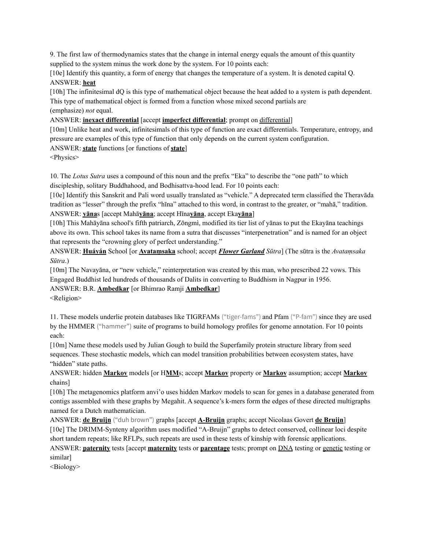9. The first law of thermodynamics states that the change in internal energy equals the amount of this quantity supplied to the system minus the work done by the system. For 10 points each:

[10e] Identify this quantity, a form of energy that changes the temperature of a system. It is denoted capital Q. ANSWER: **heat**

[10h] The infinitesimal dQ is this type of mathematical object because the heat added to a system is path dependent. This type of mathematical object is formed from a function whose mixed second partials are (emphasize) *not* equal.

ANSWER: **inexact differential** [accept **imperfect differential**; prompt on differential]

[10m] Unlike heat and work, infinitesimals of this type of function are exact differentials. Temperature, entropy, and pressure are examples of this type of function that only depends on the current system configuration.

ANSWER: **state** functions [or functions of **state**]

<Physics>

10. The *Lotus Sutra* uses a compound of this noun and the prefix "Eka" to describe the "one path" to which discipleship, solitary Buddhahood, and Bodhisattva-hood lead. For 10 points each:

[10e] Identify this Sanskrit and Pali word usually translated as "vehicle." A deprecated term classified the Theravāda tradition as "lesser" through the prefix "hīna" attached to this word, in contrast to the greater, or "mahā," tradition. ANSWER: **yāna**s [accept Mahā**yāna**; accept Hīna**yāna**, accept Eka**yāna**]

[10h] This Mahāyāna school's fifth patriarch, Zōngmì, modified its tier list of yānas to put the Ekayāna teachings above its own. This school takes its name from a sutra that discusses "interpenetration" and is named for an object that represents the "crowning glory of perfect understanding."

ANSWER: **Huáyán** School [or **Avataṃsaka** school; accept *Flower Garland Sūtra*] (The sūtra is the *Avataṃsaka Sūtra*.)

[10m] The Navayāna, or "new vehicle," reinterpretation was created by this man, who prescribed 22 vows. This Engaged Buddhist led hundreds of thousands of Dalits in converting to Buddhism in Nagpur in 1956.

ANSWER: B.R. **Ambedkar** [or Bhimrao Ramji **Ambedkar**]

<Religion>

11. These models underlie protein databases like TIGRFAMs ("tiger-fams") and Pfam ("P-fam") since they are used by the HMMER ("hammer") suite of programs to build homology profiles for genome annotation. For 10 points each:

[10m] Name these models used by Julian Gough to build the Superfamily protein structure library from seed sequences. These stochastic models, which can model transition probabilities between ecosystem states, have "hidden" state paths.

ANSWER: hidden **Markov** models [or H**MM**s; accept **Markov** property or **Markov** assumption; accept **Markov** chains]

[10h] The metagenomics platform anvi'o uses hidden Markov models to scan for genes in a database generated from contigs assembled with these graphs by Megahit. A sequence's k-mers form the edges of these directed multigraphs named for a Dutch mathematician.

ANSWER: **de Bruijn** ("duh brown") graphs [accept **A-Bruijn** graphs; accept Nicolaas Govert **de Bruijn**] [10e] The DRIMM-Synteny algorithm uses modified "A-Bruijn" graphs to detect conserved, collinear loci despite short tandem repeats; like RFLPs, such repeats are used in these tests of kinship with forensic applications.

ANSWER: **paternity** tests [accept **maternity** tests or **parentage** tests; prompt on DNA testing or genetic testing or similar]

<Biology>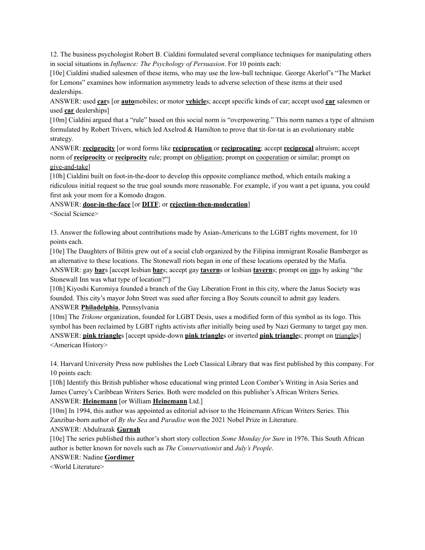12. The business psychologist Robert B. Cialdini formulated several compliance techniques for manipulating others in social situations in *Influence: The Psychology of Persuasion*. For 10 points each:

[10e] Cialdini studied salesmen of these items, who may use the low-ball technique. George Akerlof's "The Market for Lemons" examines how information asymmetry leads to adverse selection of these items at their used dealerships.

ANSWER: used **car**s [or **auto**mobiles; or motor **vehicle**s; accept specific kinds of car; accept used **car** salesmen or used **car** dealerships]

[10m] Cialdini argued that a "rule" based on this social norm is "overpowering." This norm names a type of altruism formulated by Robert Trivers, which led Axelrod & Hamilton to prove that tit-for-tat is an evolutionary stable strategy.

ANSWER: **reciprocity** [or word forms like **reciprocation** or **reciprocating**; accept **reciprocal** altruism; accept norm of **reciprocity** or **reciprocity** rule; prompt on obligation; prompt on cooperation or similar; prompt on give-and-take]

[10h] Cialdini built on foot-in-the-door to develop this opposite compliance method, which entails making a ridiculous initial request so the true goal sounds more reasonable. For example, if you want a pet iguana, you could first ask your mom for a Komodo dragon.

## ANSWER: **door-in-the-face** [or **DITF**; or **rejection-then-moderation**]

<Social Science>

13. Answer the following about contributions made by Asian-Americans to the LGBT rights movement, for 10 points each.

[10e] The Daughters of Bilitis grew out of a social club organized by the Filipina immigrant Rosalie Bamberger as an alternative to these locations. The Stonewall riots began in one of these locations operated by the Mafia. ANSWER: gay **bar**s [accept lesbian **bar**s; accept gay **tavern**s or lesbian **tavern**s; prompt on inns by asking "the Stonewall Inn was what type of location?"]

[10h] Kiyoshi Kuromiya founded a branch of the Gay Liberation Front in this city, where the Janus Society was founded. This city's mayor John Street was sued after forcing a Boy Scouts council to admit gay leaders. ANSWER **Philadelphia**, Pennsylvania

[10m] The *Trikone* organization, founded for LGBT Desis, uses a modified form of this symbol as its logo. This symbol has been reclaimed by LGBT rights activists after initially being used by Nazi Germany to target gay men. ANSWER: **pink triangle**s [accept upside-down **pink triangle**s or inverted **pink triangle**s; prompt on triangles] <American History>

14. Harvard University Press now publishes the Loeb Classical Library that was first published by this company. For 10 points each:

[10h] Identify this British publisher whose educational wing printed Leon Comber's Writing in Asia Series and James Currey's Caribbean Writers Series. Both were modeled on this publisher's African Writers Series. ANSWER: **Heinemann** [or William **Heinemann** Ltd.]

[10m] In 1994, this author was appointed as editorial advisor to the Heinemann African Writers Series. This Zanzibar-born author of *By the Sea* and *Paradise* won the 2021 Nobel Prize in Literature.

ANSWER: Abdulrazak **Gurnah**

[10e] The series published this author's short story collection *Some Monday for Sure* in 1976. This South African author is better known for novels such as *The Conservationist* and *July's People*.

ANSWER: Nadine **Gordimer**

<World Literature>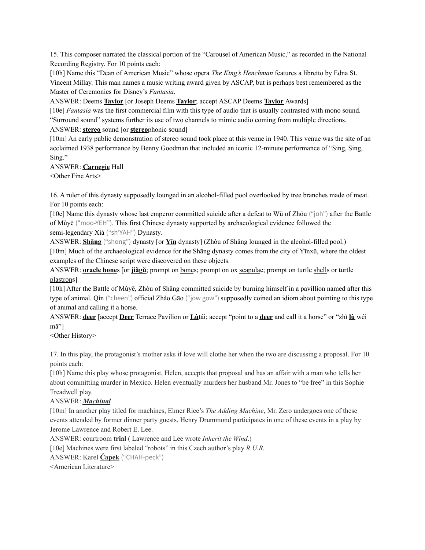15. This composer narrated the classical portion of the "Carousel of American Music," as recorded in the National Recording Registry. For 10 points each:

[10h] Name this "Dean of American Music" whose opera *The King's Henchman* features a libretto by Edna St. Vincent Millay. This man names a music writing award given by ASCAP, but is perhaps best remembered as the Master of Ceremonies for Disney's *Fantasia*.

ANSWER: Deems **Taylor** [or Joseph Deems **Taylor**; accept ASCAP Deems **Taylor** Awards]

[10e] *Fantasia* was the first commercial film with this type of audio that is usually contrasted with mono sound. "Surround sound" systems further its use of two channels to mimic audio coming from multiple directions. ANSWER: **stereo** sound [or **stereo**phonic sound]

[10m] An early public demonstration of stereo sound took place at this venue in 1940. This venue was the site of an acclaimed 1938 performance by Benny Goodman that included an iconic 12-minute performance of "Sing, Sing, Sing."

ANSWER: **Carnegie** Hall

<Other Fine Arts>

16. A ruler of this dynasty supposedly lounged in an alcohol-filled pool overlooked by tree branches made of meat. For 10 points each:

[10e] Name this dynasty whose last emperor committed suicide after a defeat to Wŭ of Zhōu ("joh") after the Battle of Mùyĕ ("moo-YEH"). This first Chinese dynasty supported by archaeological evidence followed the semi-legendary Xià ("sh'YAH") Dynasty.

ANSWER: **Shāng** ("shong") dynasty [or **Yīn** dynasty] (Zhòu of Shāng lounged in the alcohol-filled pool.) [10m] Much of the archaeological evidence for the Shāng dynasty comes from the city of Yīnxū, where the oldest examples of the Chinese script were discovered on these objects.

ANSWER: **<u>oracle bone</u>s** [or **jiǎgǔ**; prompt on <u>bone</u>s; prompt on ox scapulae; prompt on turtle shells or turtle plastrons]

[10h] After the Battle of Mùyĕ, Zhòu of Shāng committed suicide by burning himself in a pavillion named after this type of animal. Qín ("cheen") official Zhào Gāo ("jow gow") supposedly coined an idiom about pointing to this type of animal and calling it a horse.

ANSWER: **deer** [accept **Deer** Terrace Pavilion or **Lù**tái; accept "point to a **deer** and call it a horse" or "zhǐ **lù** wéi mǎ"]

<Other History>

17. In this play, the protagonist's mother asks if love will clothe her when the two are discussing a proposal. For 10 points each:

[10h] Name this play whose protagonist, Helen, accepts that proposal and has an affair with a man who tells her about committing murder in Mexico. Helen eventually murders her husband Mr. Jones to "be free" in this Sophie Treadwell play.

## ANSWER: *Machinal*

[10m] In another play titled for machines, Elmer Rice's *The Adding Machine*, Mr. Zero undergoes one of these events attended by former dinner party guests. Henry Drummond participates in one of these events in a play by Jerome Lawrence and Robert E. Lee.

ANSWER: courtroom **trial** ( Lawrence and Lee wrote *Inherit the Wind*.)

[10e] Machines were first labeled "robots" in this Czech author's play *R.U.R.* 

ANSWER: Karel **Čapek** ("CHAH-peck")

<American Literature>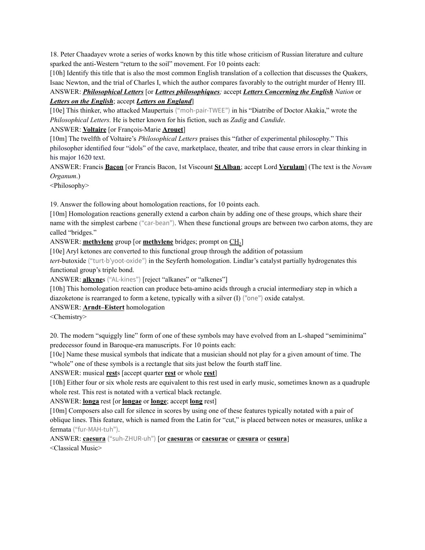18. Peter Chaadayev wrote a series of works known by this title whose criticism of Russian literature and culture sparked the anti-Western "return to the soil" movement. For 10 points each:

[10h] Identify this title that is also the most common English translation of a collection that discusses the Quakers, Isaac Newton, and the trial of Charles I, which the author compares favorably to the outright murder of Henry III.

## ANSWER: *Philosophical Letters* [or *Lettres philosophiques;* accept *Letters Concerning the English Nation* or *Letters on the English*; accept *Letters on England*]

[10e] This thinker, who attacked Maupertuis ("moh-pair-TWEE") in his "Diatribe of Doctor Akakia," wrote the *Philosophical Letters.* He is better known for his fiction, such as *Zadig* and *Candide*.

## ANSWER: **Voltaire** [or François-Marie **Arouet**]

[10m] The twelfth of Voltaire's *Philosophical Letters* praises this "father of experimental philosophy." This philosopher identified four "idols" of the cave, marketplace, theater, and tribe that cause errors in clear thinking in his major 1620 text.

ANSWER: Francis **Bacon** [or Francis Bacon, 1st Viscount **St Alban**; accept Lord **Verulam**] (The text is the *Novum Organum*.)

<Philosophy>

19. Answer the following about homologation reactions, for 10 points each.

[10m] Homologation reactions generally extend a carbon chain by adding one of these groups, which share their name with the simplest carbene ("car-bean"). When these functional groups are between two carbon atoms, they are called "bridges."

ANSWER: **methylene** group [or **methylene** bridges; prompt on CH<sub>2</sub>]

[10e] Aryl ketones are converted to this functional group through the addition of potassium

*tert*-butoxide ("turt-b'yoot-oxide") in the Seyferth homologation. Lindlar's catalyst partially hydrogenates this functional group's triple bond.

ANSWER: **alkyne**s ("AL-kines") [reject "alkanes" or "alkenes"]

[10h] This homologation reaction can produce beta-amino acids through a crucial intermediary step in which a diazoketone is rearranged to form a ketene, typically with a silver (I) ("one") oxide catalyst.

ANSWER: **Arndt–Eistert** homologation

<Chemistry>

20. The modern "squiggly line" form of one of these symbols may have evolved from an L-shaped "semiminima" predecessor found in Baroque-era manuscripts. For 10 points each:

[10e] Name these musical symbols that indicate that a musician should not play for a given amount of time. The "whole" one of these symbols is a rectangle that sits just below the fourth staff line.

ANSWER: musical **rest**s [accept quarter **rest** or whole **rest**]

[10h] Either four or six whole rests are equivalent to this rest used in early music, sometimes known as a quadruple whole rest. This rest is notated with a vertical black rectangle.

## ANSWER: **longa** rest [or **longae** or **longe**; accept **long** rest]

[10m] Composers also call for silence in scores by using one of these features typically notated with a pair of oblique lines. This feature, which is named from the Latin for "cut," is placed between notes or measures, unlike a fermata ("fur-MAH-tuh").

ANSWER: **caesura** ("suh-ZHUR-uh") [or **caesuras** or **caesurae** or **cæsura** or **cesura**] <Classical Music>